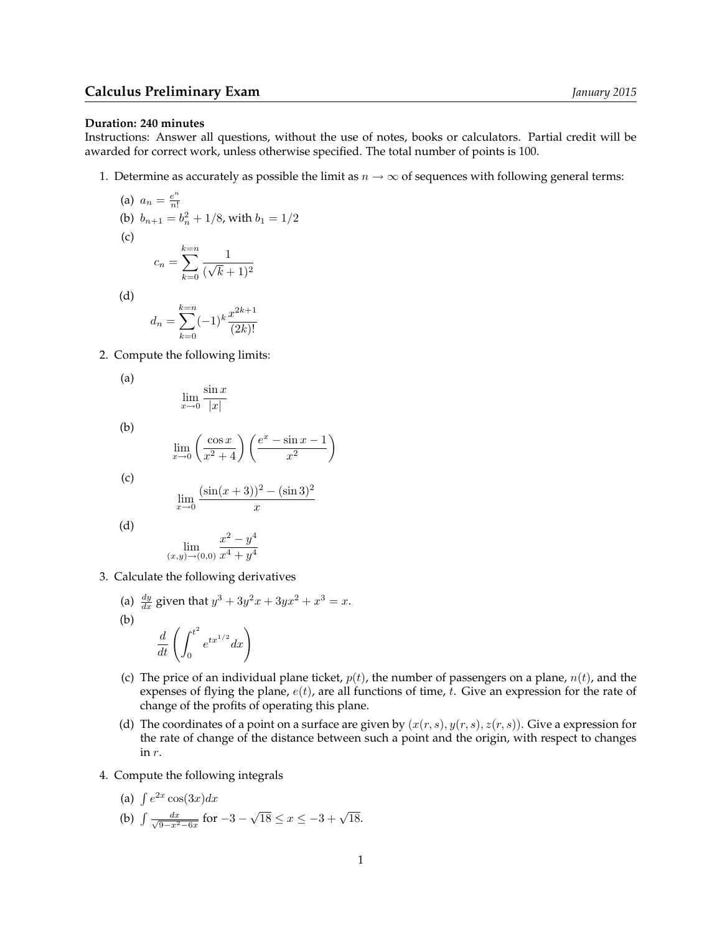## **Calculus Preliminary Exam** *January 2015*

## **Duration: 240 minutes**

Instructions: Answer all questions, without the use of notes, books or calculators. Partial credit will be awarded for correct work, unless otherwise specified. The total number of points is 100.

1. Determine as accurately as possible the limit as  $n \to \infty$  of sequences with following general terms:

(a) 
$$
a_n = \frac{e^n}{n!}
$$
  
\n(b)  $b_{n+1} = b_n^2 + 1/8$ , with  $b_1 = 1/2$   
\n(c)  
\n
$$
c_n = \sum_{k=0}^{k=n} \frac{1}{(\sqrt{k}+1)^2}
$$
\n(d)  
\n
$$
d_n = \sum_{k=0}^{k=n} (-1)^k \frac{x^{2k+1}}{2}
$$

$$
d_n = \sum_{k=0}^{n-n} (-1)^k \frac{x^{2k+1}}{(2k)!}
$$

2. Compute the following limits:

$$
\lim_{x \to 0} \frac{\sin x}{|x|}
$$

(b)

(a)

(c)  
\n
$$
\lim_{x \to 0} \left( \frac{\cos x}{x^2 + 4} \right) \left( \frac{e^x - \sin x - 1}{x^2} \right)
$$
\n(c)  
\n
$$
\lim_{x \to 0} (\sin(x + 3))^2 - (\sin 3)^2
$$

$$
\lim_{x \to 0} \frac{(\sin(x+3))^2 - (\sin 3)}{x}
$$

(d)

$$
\lim_{(x,y)\to(0,0)}\frac{x^2-y^4}{x^4+y^4}
$$

- 3. Calculate the following derivatives
	- (a)  $\frac{dy}{dx}$  given that  $y^3 + 3y^2x + 3yx^2 + x^3 = x$ . (b)  $\frac{d}{dt}\left(\int_0^{t^2}$ 0  $e^{tx^{1/2}}dx$
	- (c) The price of an individual plane ticket,  $p(t)$ , the number of passengers on a plane,  $n(t)$ , and the expenses of flying the plane,  $e(t)$ , are all functions of time, t. Give an expression for the rate of change of the profits of operating this plane.
	- (d) The coordinates of a point on a surface are given by  $(x(r, s), y(r, s), z(r, s))$ . Give a expression for the rate of change of the distance between such a point and the origin, with respect to changes in r.
- 4. Compute the following integrals
	- (a)  $\int e^{2x} \cos(3x) dx$
	- (b)  $\int \frac{dx}{\sqrt{9-x^2-6x}}$  for  $-3$   $\sqrt{18} \le x \le -3 + \sqrt{18}.$